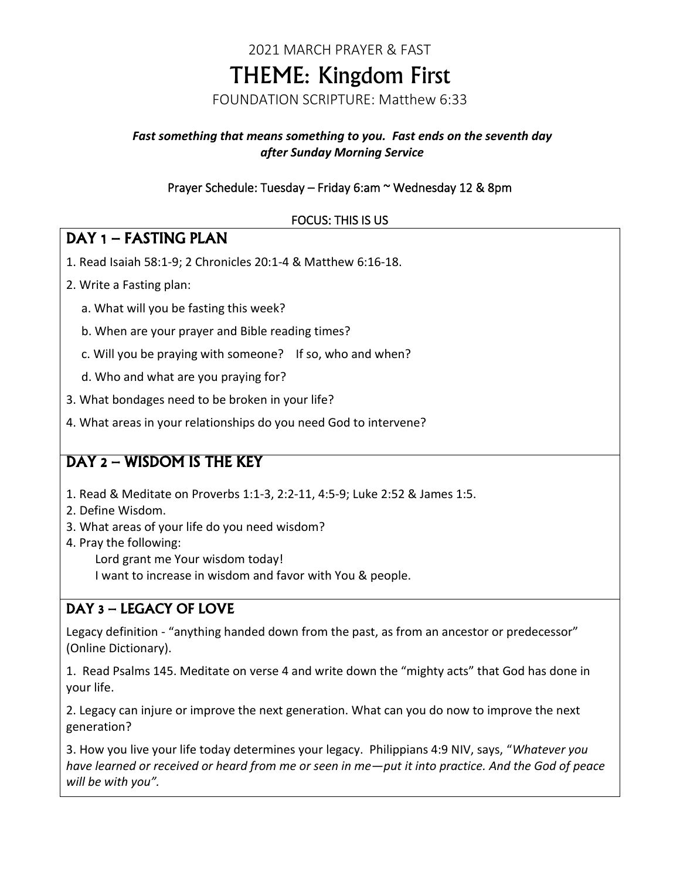# 2021 MARCH PRAYER & FAST THEME: Kingdom First

FOUNDATION SCRIPTURE: Matthew 6:33

#### *Fast something that means something to you. Fast ends on the seventh day after Sunday Morning Service*

#### Prayer Schedule: Tuesday – Friday 6:am ~ Wednesday 12 & 8pm

#### FOCUS: THIS IS US

#### DAY 1 – FASTING PLAN

- 1. Read Isaiah 58:1-9; 2 Chronicles 20:1-4 & Matthew 6:16-18.
- 2. Write a Fasting plan:
	- a. What will you be fasting this week?
	- b. When are your prayer and Bible reading times?
	- c. Will you be praying with someone? If so, who and when?
	- d. Who and what are you praying for?
- 3. What bondages need to be broken in your life?
- 4. What areas in your relationships do you need God to intervene?

### DAY 2 – WISDOM IS THE KEY

- 1. Read & Meditate on Proverbs 1:1-3, 2:2-11, 4:5-9; Luke 2:52 & James 1:5.
- 2. Define Wisdom.
- 3. What areas of your life do you need wisdom?
- 4. Pray the following: Lord grant me Your wisdom today! I want to increase in wisdom and favor with You & people.

### DAY 3 – LEGACY OF LOVE

Legacy definition - "anything handed down from the past, as from an ancestor or predecessor" (Online Dictionary).

1. Read Psalms 145. Meditate on verse 4 and write down the "mighty acts" that God has done in your life.

2. Legacy can injure or improve the next generation. What can you do now to improve the next generation?

3. How you live your life today determines your legacy. Philippians 4:9 NIV, says, "*Whatever you have learned or received or heard from me or seen in me—put it into practice. And the God of peace will be with you".*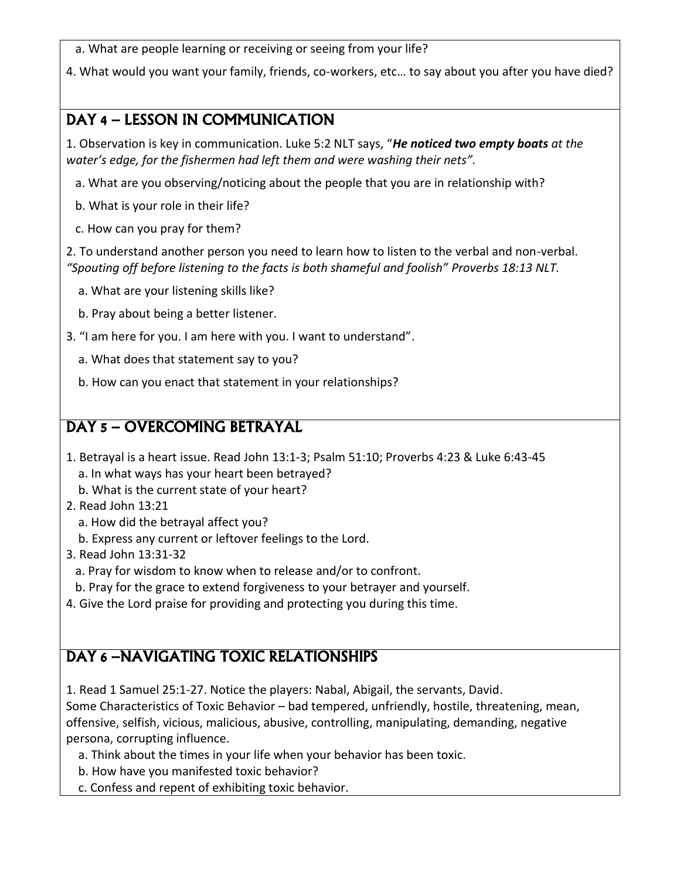a. What are people learning or receiving or seeing from your life?

4. What would you want your family, friends, co-workers, etc… to say about you after you have died?

## DAY 4 – LESSON IN COMMUNICATION

1. Observation is key in communication. Luke 5:2 NLT says, "*He noticed two empty boats at the water's edge, for the fishermen had left them and were washing their nets".*

- a. What are you observing/noticing about the people that you are in relationship with?
- b. What is your role in their life?
- c. How can you pray for them?

2. To understand another person you need to learn how to listen to the verbal and non-verbal. *"Spouting off before listening to the facts is both shameful and foolish" Proverbs 18:13 NLT.*

- a. What are your listening skills like?
- b. Pray about being a better listener.
- 3. "I am here for you. I am here with you. I want to understand".
	- a. What does that statement say to you?
	- b. How can you enact that statement in your relationships?

### DAY 5 – OVERCOMING BETRAYAL

- 1. Betrayal is a heart issue. Read John 13:1-3; Psalm 51:10; Proverbs 4:23 & Luke 6:43-45 a. In what ways has your heart been betrayed?
	- b. What is the current state of your heart?
- 2. Read John 13:21
	- a. How did the betrayal affect you?
	- b. Express any current or leftover feelings to the Lord.
- 3. Read John 13:31-32
	- a. Pray for wisdom to know when to release and/or to confront.
- b. Pray for the grace to extend forgiveness to your betrayer and yourself.
- 4. Give the Lord praise for providing and protecting you during this time.

# DAY 6 –NAVIGATING TOXIC RELATIONSHIPS

1. Read 1 Samuel 25:1-27. Notice the players: Nabal, Abigail, the servants, David.

Some Characteristics of Toxic Behavior – bad tempered, unfriendly, hostile, threatening, mean, offensive, selfish, vicious, malicious, abusive, controlling, manipulating, demanding, negative persona, corrupting influence.

- a. Think about the times in your life when your behavior has been toxic.
- b. How have you manifested toxic behavior?
- c. Confess and repent of exhibiting toxic behavior.